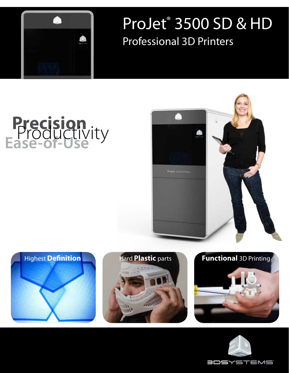

## ProJet® 3500 SD & HD Professional 3D Printers

# **Precision Ease-of-Use** Productivity









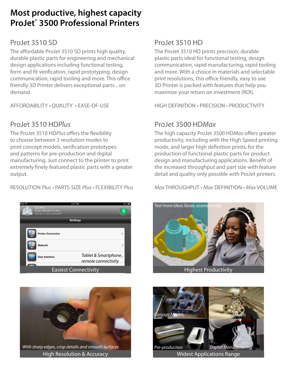#### **Most productive, highest capacity ProJet® 3500 Professional Printers**

#### ProJet 3510 SD

The affordable ProJet 3510 SD prints high quality, durable plastic parts for engineering and mechanical design applications including functional testing, form and fit verification, rapid prototyping, design communication, rapid tooling and more. This office friendly 3D Printer delivers exceptional parts... on demand.

AFFORDABILITY • QUALITY • EASE-OF-USE

#### ProJet 3510 HD*Plus*

The ProJet 3510 HD*Plus* offers the flexibility to choose between 3 resolution modes to print concept models, verification prototypes and patterns for pre-production and digital manufacturing. Just connect to the printer to print extremely finely featured plastic parts with a greater output.

RESOLUTION *Plus* • PARTS SIZE *Plus* • FLEXIBILITY *Plus*





High Resolution & Accuracy

#### ProJet 3510 HD

The ProJet 3510 HD prints precision, durable plastic parts ideal for functional testing, design communication, rapid manufacturing, rapid tooling and more. With a choice in materials and selectable print resolutions, this office friendly, easy to use 3D Printer is packed with features that help you maximize your return on investment (ROI).

HIGH DEFINITION • PRECISION • PRODUCTIVITY

#### ProJet 3500 HD*Max*

The high capacity ProJet 3500 HD*Max* offers greater productivity, including with the High Speed printing mode, and larger high definition prints, for the production of functional plastic parts for product design and manufacturing applications. Benefit of the increased throughput and part size with feature detail and quality only possible with ProJet printers.

*Max* THROUGHPUT • *Max* DEFINITION • *Max* VOLUME





Widest Applications Range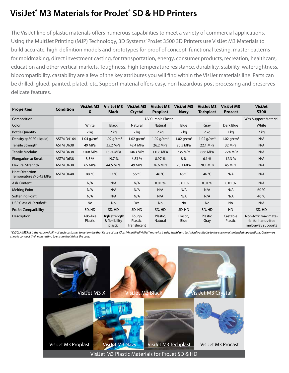### **VisiJet® M3 Materials for ProJet® SD & HD Printers**

The VisiJet line of plastic materials offers numerous capabilities to meet a variety of commercial applications. Using the MultiJet Printing (MJP) Technology, 3D Systems' ProJet 3500 3D Printers use VisiJet M3 Materials to build accurate, high-definition models and prototypes for proof of concept, functional testing, master patterns for moldmaking, direct investment casting, for transportation, energy, consumer products, recreation, healthcare, education and other vertical markets. Toughness, high temperature resistance, durability, stability, watertightness, biocompatibility, castability are a few of the key attributes you will find within the VisiJet materials line. Parts can be drilled, glued, painted, plated, etc. Support material offers easy, non hazardous post processing and preserves delicate features.

| <b>Properties</b>                                | <b>Condition</b>  | <b>VisiJet M3</b><br>X | <b>VisiJet M3</b><br><b>Black</b>         | <b>VisiJet M3</b><br>Crystal     | <b>VisiJet M3</b><br><b>Proplast</b> | <b>VisiJet M3</b><br><b>Navy</b> | <b>VisiJet M3</b><br><b>Techplast</b> | <b>VisiJet M3</b><br><b>Procast</b> | <b>VisiJet</b><br><b>S300</b>                                    |
|--------------------------------------------------|-------------------|------------------------|-------------------------------------------|----------------------------------|--------------------------------------|----------------------------------|---------------------------------------|-------------------------------------|------------------------------------------------------------------|
| Composition                                      |                   |                        |                                           |                                  |                                      |                                  |                                       |                                     | <b>Wax Support Material</b>                                      |
| Color                                            |                   | White                  | <b>Black</b>                              | Natural                          | Natural                              | Blue                             | Gray                                  | Dark Blue                           | White                                                            |
| <b>Bottle Quantity</b>                           |                   | $2$ kg                 | $2$ kg                                    | $2$ kg                           | $2$ kg                               | $2$ kg                           | $2$ kg                                | $2$ kg                              | $2$ kg                                                           |
| Density @ $80 °C$ (liquid)                       | <b>ASTM D4164</b> | 1.04 $q/cm^3$          | 1.02 $q/cm^3$                             | 1.02 $g/cm^3$                    | 1.02 $q/cm^3$                        | 1.02 $q/cm^3$                    | 1.02 $q/cm^3$                         | 1.02 $q/cm^3$                       | N/A                                                              |
| Tensile Strength                                 | ASTM D638         | 49 MPa                 | 35.2 MPa                                  | 42.4 MPa                         | 26.2 MPa                             | 20.5 MPa                         | 22.1 MPa                              | 32 MPa                              | N/A                                                              |
| <b>Tensile Modulus</b>                           | ASTM D638         | 2168 MPa               | 1594 MPa                                  | 1463 MPa                         | 1108 MPa                             | 735 MPa                          | 866 MPa                               | 1724 MPa                            | N/A                                                              |
| <b>Elongation at Break</b>                       | ASTM D638         | 8.3%                   | 19.7%                                     | 6.83%                            | 8.97%                                | 8 %                              | 6.1%                                  | 12.3%                               | N/A                                                              |
| Flexural Strength                                | ASTM D638         | 65 MPa                 | 44.5 MPa                                  | 49 MPa                           | 26.6 MPa                             | 28.1 MPa                         | 28.1 MPa                              | 45 MPa                              | N/A                                                              |
| <b>Heat Distortion</b><br>Temperature @ 0.45 MPa | ASTM D648         | 88 °C                  | 57 $°C$                                   | 56 °C                            | 46 $°C$                              | 46 °C                            | 46 °C                                 | N/A                                 | N/A                                                              |
| Ash Content                                      |                   | N/A                    | N/A                                       | N/A                              | 0.01%                                | 0.01%                            | 0.01%                                 | 0.01%                               | N/A                                                              |
| <b>Melting Point</b>                             |                   | N/A                    | N/A                                       | N/A                              | N/A                                  | N/A                              | N/A                                   | N/A                                 | 60 °C                                                            |
| Softening Point                                  |                   | N/A                    | N/A                                       | N/A                              | N/A                                  | N/A                              | N/A                                   | N/A                                 | 40 °C                                                            |
| USP Class VI Certified*                          |                   | No                     | No                                        | Yes                              | No                                   | No                               | <b>No</b>                             | No                                  | N/A                                                              |
| <b>ProJet Compatibility</b>                      |                   | SD, HD                 | SD, HD                                    | SD, HD                           | SD, HD                               | SD, HD                           | SD, HD                                | HD                                  | SD, HD                                                           |
| Description                                      |                   | ABS-like<br>Plastic    | High strength<br>& flexibility<br>plastic | Tough<br>Plastic,<br>Translucent | Plastic,<br>Natural                  | Plastic,<br>Blue                 | Plastic,<br>Gray                      | Castable<br>Plastic                 | Non-toxic wax mate-<br>rial for hands-free<br>melt-away supports |

\* DISCLAIMER: It is the responsibility of each customer to determine that its use of any Class VI certified VisiJet® material is safe, lawful and technically suitable to the customer's intended applications. Customers *should conduct their own testing to ensure that this is the case.*